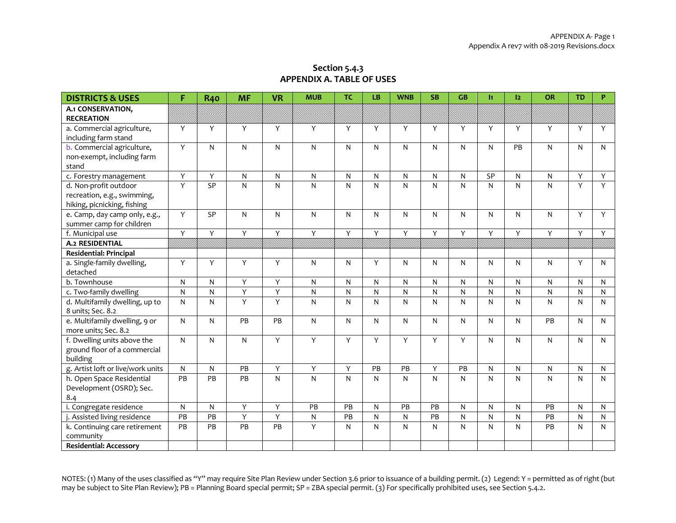| Section 5.4.3                    |
|----------------------------------|
| <b>APPENDIX A. TABLE OF USES</b> |

| <b>DISTRICTS &amp; USES</b>                         | F               | <b>R40</b> | <b>MF</b>      | <b>VR</b> | <b>MUB</b>   | <b>TC</b> | <b>LB</b> | <b>WNB</b>      | <b>SB</b>      | GB              | It. | 12           | OR             | <b>TD</b> | P.           |
|-----------------------------------------------------|-----------------|------------|----------------|-----------|--------------|-----------|-----------|-----------------|----------------|-----------------|-----|--------------|----------------|-----------|--------------|
| A.1 CONSERVATION,                                   |                 |            |                |           |              |           |           |                 |                |                 |     |              |                |           |              |
| <b>RECREATION</b>                                   |                 |            |                |           |              |           |           |                 |                |                 |     |              |                |           |              |
| a. Commercial agriculture,                          | Y               | Y          | Y              | Y         | Y            | Y         | Y         | Y               | Y              | Y               | Y   | Y            | Y              | Y         | Y            |
| including farm stand                                |                 |            |                |           |              |           |           |                 |                |                 |     |              |                |           |              |
| b. Commercial agriculture,                          | $\overline{Y}$  | N          | $\mathsf{N}$   | N         | N            | N         | N         | N               | $\mathsf{N}$   | $\mathsf{N}$    | N   | PB           | N              | N         | $\mathsf{N}$ |
| non-exempt, including farm                          |                 |            |                |           |              |           |           |                 |                |                 |     |              |                |           |              |
| stand                                               |                 |            |                |           |              |           |           |                 |                |                 |     |              |                |           |              |
| c. Forestry management                              | Y               | Y          | $\mathsf{N}$   | N         | $\mathsf{N}$ | N         | N         | N               | ${\sf N}$      | ${\sf N}$       | SP  | $\mathsf{N}$ | N              | Y         | Y            |
| d. Non-profit outdoor                               | Y               | SP         | $\mathsf{N}$   | N         | N            | N         | N         | N               | ${\sf N}$      | $\mathsf{N}$    | N   | $\mathsf{N}$ | N              | Y         | Y            |
| recreation, e.g., swimming,                         |                 |            |                |           |              |           |           |                 |                |                 |     |              |                |           |              |
| hiking, picnicking, fishing                         |                 |            |                |           |              |           |           |                 |                |                 |     |              |                |           |              |
| e. Camp, day camp only, e.g.,                       | $\overline{Y}$  | SP         | ${\sf N}$      | N         | N            | N         | N         | N               | ${\sf N}$      | ${\sf N}$       | N   | $\mathsf{N}$ | N              | Y         | Y            |
| summer camp for children                            |                 |            |                |           |              |           |           |                 |                |                 |     |              | $\overline{Y}$ |           |              |
| f. Municipal use                                    | $\overline{Y}$  | Y          | $\overline{Y}$ | Y         | Y            | Y         | Y         | $\overline{Y}$  | $\overline{Y}$ | Ÿ               | Y   | Y            |                | Y         | Y            |
| <b>A.2 RESIDENTIAL</b>                              | 8818            |            |                |           |              |           |           |                 |                |                 |     |              |                |           |              |
| <b>Residential: Principal</b>                       |                 |            |                |           |              |           |           |                 |                |                 |     |              |                |           |              |
| a. Single-family dwelling,                          | Y               | Y          | Y              | Y         | N            | N         | Υ         | N               | ${\sf N}$      | $\mathsf{N}$    | N   | $\mathsf{N}$ | N              | Y         | $\mathsf{N}$ |
| detached                                            |                 |            |                |           |              |           |           |                 |                |                 |     |              |                |           |              |
| b. Townhouse                                        | ${\sf N}$       | N          | $\overline{Y}$ | Y         | N            | ${\sf N}$ | N         | N               | ${\sf N}$      | $\mathsf{N}$    | N   | $\mathsf{N}$ | N              | N         | ${\sf N}$    |
| c. Two-family dwelling                              | ${\sf N}$       | N          | $\overline{Y}$ | Ÿ         | $\mathsf{N}$ | ${\sf N}$ | ${\sf N}$ | $\mathsf{N}$    | $\mathsf{N}$   | N               | N   | ${\sf N}$    | N              | N         | N            |
| d. Multifamily dwelling, up to<br>8 units; Sec. 8.2 | ${\sf N}$       | N          | Y              | Y         | N            | N         | N         | N               | ${\sf N}$      | $\mathsf{N}$    | N   | ${\sf N}$    | N              | N         | ${\sf N}$    |
| e. Multifamily dwelling, 9 or                       | ${\sf N}$       | N          | PB             | PB        | N            | N         | N         | N               | $\mathsf{N}$   | ${\sf N}$       | N   | $\mathsf{N}$ | PB             | N         | ${\sf N}$    |
| more units; Sec. 8.2                                |                 |            |                |           |              |           |           |                 |                |                 |     |              |                |           |              |
| f. Dwelling units above the                         | ${\sf N}$       | N          | N              | Y         | Υ            | Y         | Υ         | Y               | $\overline{Y}$ | Y               | N   | $\mathsf{N}$ | N              | N         | ${\sf N}$    |
| ground floor of a commercial                        |                 |            |                |           |              |           |           |                 |                |                 |     |              |                |           |              |
| building                                            |                 |            |                |           |              |           |           |                 |                |                 |     |              |                |           |              |
| g. Artist loft or live/work units                   | ${\sf N}$       | N          | PB             | Y         | Y            | Y         | PB        | $\overline{PB}$ | Y              | $\overline{PB}$ | N   | $\mathsf{N}$ | N              | N         | ${\sf N}$    |
| h. Open Space Residential                           | PB              | PB         | PB             | N         | $\mathsf{N}$ | N         | N         | N               | $\mathsf{N}$   | N               | N   | ${\sf N}$    | N              | N         | $\mathsf{N}$ |
| Development (OSRD); Sec.                            |                 |            |                |           |              |           |           |                 |                |                 |     |              |                |           |              |
| 8.4                                                 |                 |            |                |           |              |           |           |                 |                |                 |     |              |                |           |              |
| i. Congregate residence                             | N               | N          | Y              | Y         | PB           | PB        | N         | PB              | PB             | N               | N   | $\mathsf{N}$ | PB             | N         | N            |
| j. Assisted living residence                        | $\overline{PB}$ | PB         | $\overline{Y}$ | Y         | ${\sf N}$    | PB        | ${\sf N}$ | ${\sf N}$       | PB             | ${\sf N}$       | N   | ${\sf N}$    | PB             | N         | ${\sf N}$    |
| k. Continuing care retirement                       | PB              | PB         | PB             | PB        | Υ            | N         | ${\sf N}$ | $\mathsf{N}$    | ${\sf N}$      | ${\sf N}$       | N   | $\mathsf{N}$ | PB             | N         | N            |
| community                                           |                 |            |                |           |              |           |           |                 |                |                 |     |              |                |           |              |
| <b>Residential: Accessory</b>                       |                 |            |                |           |              |           |           |                 |                |                 |     |              |                |           |              |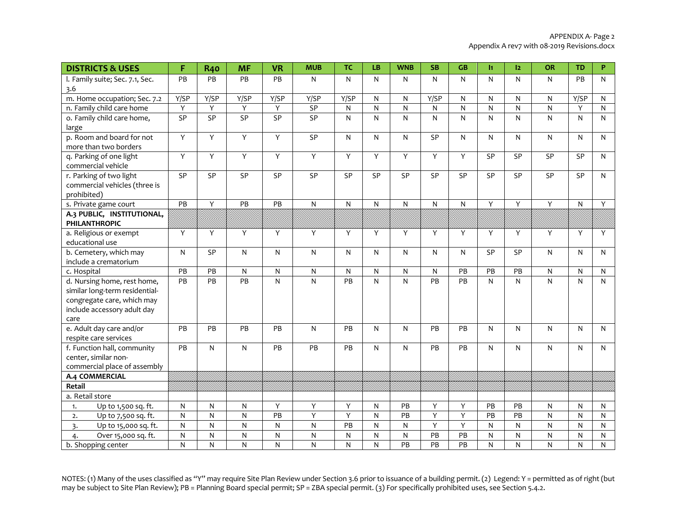| <b>DISTRICTS &amp; USES</b>                                                                                                        | F               | <b>R40</b>     | <b>MF</b>      | <b>VR</b>       | <b>MUB</b>              | <b>TC</b>         | LB                      | <b>WNB</b>                   | <b>SB</b>       | GB                               | I1             | 12             | OR             | <b>TD</b>                   | P                         |
|------------------------------------------------------------------------------------------------------------------------------------|-----------------|----------------|----------------|-----------------|-------------------------|-------------------|-------------------------|------------------------------|-----------------|----------------------------------|----------------|----------------|----------------|-----------------------------|---------------------------|
| I. Family suite; Sec. 7.1, Sec.<br>3.6                                                                                             | PB              | PB             | PB             | PB              | N                       | N                 | N                       | N                            | $\mathsf{N}$    | N                                | N              | N              | N              | <b>PB</b>                   | N                         |
| m. Home occupation; Sec. 7.2                                                                                                       | Y/SP            | Y/SP           | Y/SP           | Y/SP            | Y/SP                    | Y/SP              | N                       | N                            | Y/SP            | N                                | N              | $\mathsf{N}$   | N              | Y/SP                        | ${\sf N}$                 |
| n. Family child care home                                                                                                          | Υ               | Y              | Υ              | Υ               | SP                      | $\mathsf{N}$      | $\overline{\mathsf{N}}$ | $\overline{\mathsf{N}}$      | ${\sf N}$       | ${\sf N}$                        | $\overline{N}$ | N              | ${\sf N}$      | Y                           | ${\sf N}$                 |
| o. Family child care home,<br>large                                                                                                | SP              | SP             | SP             | $\overline{SP}$ | SP                      | ${\sf N}$         | N                       | N                            | $\mathsf{N}$    | N                                | N              | $\mathsf{N}$   | N              | $\mathsf{N}$                | N                         |
| p. Room and board for not<br>more than two borders                                                                                 | Υ               | Y              | $\overline{Y}$ | Y               | SP                      | N                 | N                       | N                            | SP              | N                                | N              | $\mathsf{N}$   | N              | $\mathsf{N}$                | N                         |
| q. Parking of one light<br>commercial vehicle                                                                                      | Υ               | Y              | Y              | Y               | Y                       | Y                 | Y                       | Y                            | Y               | Y                                | SP             | SP             | SP             | SP                          | N                         |
| r. Parking of two light<br>commercial vehicles (three is<br>prohibited)                                                            | SP              | SP             | SP             | SP              | SP                      | SP                | SP                      | SP                           | SP              | SP                               | SP             | SP             | SP             | SP                          | N                         |
| s. Private game court                                                                                                              | PB              | Y              | PB             | PB              | $\mathsf{N}$            | $\mathsf{N}$      | ${\sf N}$               | ${\sf N}$                    | ${\sf N}$       | N                                | Y              | Y              | Υ              | ${\sf N}$                   | Y                         |
| A.3 PUBLIC, INSTITUTIONAL,<br><b>PHILANTHROPIC</b>                                                                                 |                 |                |                |                 |                         |                   |                         |                              |                 |                                  |                |                |                |                             |                           |
| a. Religious or exempt<br>educational use                                                                                          | Y               | Y              | Y              | Y               | Y                       | Y                 | Y                       | Y                            | Y               | Y                                | Y              | Y              | Y              | Y                           | Y                         |
| b. Cemetery, which may<br>include a crematorium                                                                                    | $\mathsf{N}$    | SP             | $\overline{N}$ | N               | ${\sf N}$               | ${\sf N}$         | N                       | N                            | $\mathsf{N}$    | N.                               | SP             | SP             | N              | $\mathsf{N}$                | N                         |
| c. Hospital                                                                                                                        | PB              | PB             | ${\sf N}$      | N               | ${\sf N}$               | ${\sf N}$         | N                       | N                            | ${\sf N}$       | PB                               | $\mathsf{PB}$  | $\mathsf{PB}$  | ${\sf N}$      | ${\sf N}$                   | ${\sf N}$                 |
| d. Nursing home, rest home,<br>similar long-term residential-<br>congregate care, which may<br>include accessory adult day<br>care | $\overline{PB}$ | PB             | PB             | N               | ${\sf N}$               | $\overline{PB}$   | N                       | N                            | $\overline{PB}$ | PB                               | ${\sf N}$      | ${\sf N}$      | $\mathsf{N}$   | $\overline{N}$              | $\mathsf{N}$              |
| e. Adult day care and/or<br>respite care services                                                                                  | PB              | PB             | PB             | PB              | N                       | <b>PB</b>         | N                       | N                            | PB              | PB                               | N              | $\mathsf{N}$   | N              | $\mathsf{N}$                | N                         |
| f. Function hall, community<br>center, similar non-<br>commercial place of assembly                                                | PB              | N              | $\mathsf{N}$   | <b>PB</b>       | PB                      | PB                | N                       | N                            | PB              | PB                               | N              | $\mathsf{N}$   | N              | $\mathsf{N}$                | N                         |
| A.4 COMMERCIAL                                                                                                                     |                 |                |                |                 |                         |                   |                         |                              |                 |                                  |                |                |                |                             |                           |
| Retail                                                                                                                             |                 |                |                |                 |                         |                   |                         |                              |                 |                                  |                |                |                |                             |                           |
| a. Retail store                                                                                                                    |                 |                |                |                 |                         |                   |                         |                              |                 |                                  |                |                |                |                             |                           |
| Up to 1,500 sq. ft.<br>1.                                                                                                          | ${\sf N}$       | ${\sf N}$      | ${\sf N}$      | Υ               | Υ                       | Υ                 | ${\sf N}$               | PB                           | Υ               | Υ                                | PB             | PB             | ${\sf N}$      | ${\sf N}$                   | ${\sf N}$                 |
| Up to 7,500 sq. ft.<br>2.                                                                                                          | $\mathsf{N}$    | N              | ${\sf N}$      | PB              | Υ                       | Υ                 | ${\sf N}$               | PB                           | Υ               | Υ                                | PB             | PB             | N              | N                           | N                         |
| Up to 15,000 sq. ft.<br>$\overline{3}$ .                                                                                           | ${\sf N}$       | N              | ${\sf N}$      | N               | $\overline{\mathsf{N}}$ | PB                | $\overline{\mathsf{N}}$ | ${\sf N}$                    | $\overline{Y}$  | Υ                                | N              | $\mathsf{N}$   | ${\sf N}$      | ${\sf N}$                   | N                         |
| Over 15,000 sq. ft.<br>4.                                                                                                          | ${\sf N}$<br>N  | ${\sf N}$<br>N | ${\sf N}$<br>N | N<br>N          | ${\sf N}$<br>N          | $\mathsf{N}$<br>N | ${\sf N}$<br>N          | ${\sf N}$<br>$\overline{PB}$ | PB<br>PB        | $\mathsf{PB}$<br>$\overline{PB}$ | N<br>N         | ${\sf N}$<br>N | ${\sf N}$<br>N | ${\sf N}$<br>$\overline{N}$ | ${\sf N}$<br>$\mathsf{N}$ |
| b. Shopping center                                                                                                                 |                 |                |                |                 |                         |                   |                         |                              |                 |                                  |                |                |                |                             |                           |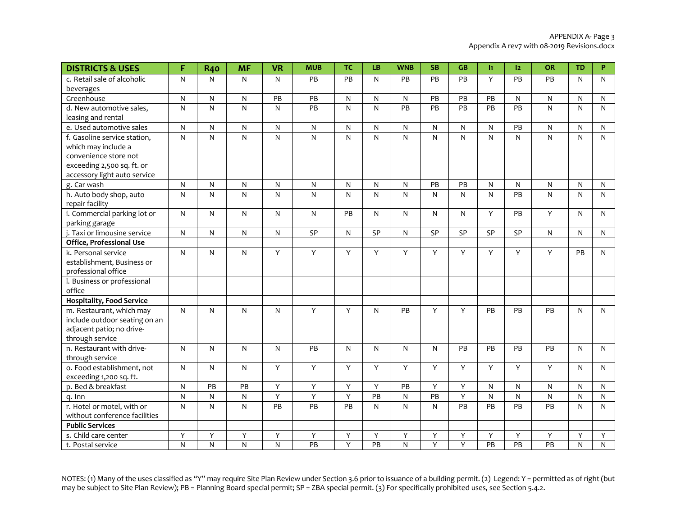| <b>DISTRICTS &amp; USES</b>      | F            | <b>R40</b>   | <b>MF</b>      | <b>VR</b>               | <b>MUB</b>     | <b>TC</b>      | LB                      | <b>WNB</b>      | <b>SB</b>       | <b>GB</b>       | $\mathbf{H}$    | 12              | <b>OR</b>       | <b>TD</b>      | P            |
|----------------------------------|--------------|--------------|----------------|-------------------------|----------------|----------------|-------------------------|-----------------|-----------------|-----------------|-----------------|-----------------|-----------------|----------------|--------------|
| c. Retail sale of alcoholic      | N            | N            | $\mathsf{N}$   | N                       | PB             | PB             | N                       | PB              | PB              | PB              | Y               | PB              | PB              | $\mathsf{N}$   | N            |
| beverages                        |              |              |                |                         |                |                |                         |                 |                 |                 |                 |                 |                 |                |              |
| Greenhouse                       | ${\sf N}$    | N            | $\mathsf{N}$   | PB                      | PB             | $\mathsf{N}$   | N                       | ${\sf N}$       | PB              | PB              | PB              | $\mathsf{N}$    | ${\sf N}$       | $\mathsf{N}$   | N            |
| d. New automotive sales,         | ${\sf N}$    | ${\sf N}$    | $\overline{N}$ | N                       | PB             | ${\sf N}$      | $\overline{\mathsf{N}}$ | $\overline{PB}$ | $\overline{PB}$ | $\overline{PB}$ | $\overline{PB}$ | $\overline{PB}$ | $\mathsf{N}$    | $\overline{N}$ | N            |
| leasing and rental               |              |              |                |                         |                |                |                         |                 |                 |                 |                 |                 |                 |                |              |
| e. Used automotive sales         | ${\sf N}$    | N            | $\mathsf{N}$   | N                       | ${\sf N}$      | ${\sf N}$      | ${\sf N}$               | $\mathsf{N}$    | ${\sf N}$       | ${\sf N}$       | ${\sf N}$       | PB              | N               | $\mathsf{N}$   | N            |
| f. Gasoline service station,     | N            | N            | ${\sf N}$      | N                       | $\overline{N}$ | ${\sf N}$      | N                       | N               | $\mathsf{N}$    | $\mathsf{N}$    | N               | N               | N               | ${\sf N}$      | N            |
| which may include a              |              |              |                |                         |                |                |                         |                 |                 |                 |                 |                 |                 |                |              |
| convenience store not            |              |              |                |                         |                |                |                         |                 |                 |                 |                 |                 |                 |                |              |
| exceeding 2,500 sq. ft. or       |              |              |                |                         |                |                |                         |                 |                 |                 |                 |                 |                 |                |              |
| accessory light auto service     |              |              |                |                         |                |                |                         |                 |                 |                 |                 |                 |                 |                |              |
| g. Car wash                      | N            | N            | $\mathsf{N}$   | N                       | $\mathsf{N}$   | N              | N                       | N               | PB              | PB              | N               | N               | N               | N              | N            |
| h. Auto body shop, auto          | ${\sf N}$    | N            | $\mathsf{N}$   | N                       | $\mathsf{N}$   | ${\sf N}$      | N                       | N               | $\mathsf{N}$    | N               | $\mathsf{N}$    | PB              | $\mathsf{N}$    | ${\sf N}$      | $\mathsf{N}$ |
| repair facility                  |              |              |                |                         |                |                |                         |                 |                 |                 |                 |                 |                 |                |              |
| i. Commercial parking lot or     | $\mathsf{N}$ | N            | $\mathsf{N}$   | N                       | N              | PB             | N                       | N               | $\mathsf{N}$    | N.              | Y               | PB              | Y               | $\mathsf{N}$   | N            |
| parking garage                   |              |              |                |                         |                |                |                         |                 |                 |                 |                 |                 |                 |                |              |
| j. Taxi or limousine service     | ${\sf N}$    | N            | ${\sf N}$      | N                       | SP             | ${\sf N}$      | SP                      | N               | SP              | SP              | SP              | <b>SP</b>       | ${\sf N}$       | $\mathsf{N}$   | N            |
| Office, Professional Use         |              |              |                |                         |                |                |                         |                 |                 |                 |                 |                 |                 |                |              |
| k. Personal service              | $\mathsf{N}$ | N            | $\mathsf{N}$   | Y                       | Y              | Y              | Y                       | Υ               | Y               | Y               | Y               | Y               | Y               | PB             | N            |
| establishment, Business or       |              |              |                |                         |                |                |                         |                 |                 |                 |                 |                 |                 |                |              |
| professional office              |              |              |                |                         |                |                |                         |                 |                 |                 |                 |                 |                 |                |              |
| I. Business or professional      |              |              |                |                         |                |                |                         |                 |                 |                 |                 |                 |                 |                |              |
| office                           |              |              |                |                         |                |                |                         |                 |                 |                 |                 |                 |                 |                |              |
| <b>Hospitality, Food Service</b> |              |              |                |                         |                |                |                         |                 |                 |                 |                 |                 |                 |                |              |
| m. Restaurant, which may         | $\mathsf{N}$ | N            | $\mathsf{N}$   | N                       | Υ              | Y              | N                       | PB              | Υ               | Υ               | PB              | PB              | PB              | ${\sf N}$      | N            |
| include outdoor seating on an    |              |              |                |                         |                |                |                         |                 |                 |                 |                 |                 |                 |                |              |
| adjacent patio; no drive-        |              |              |                |                         |                |                |                         |                 |                 |                 |                 |                 |                 |                |              |
| through service                  |              |              |                |                         |                |                |                         |                 |                 |                 |                 |                 |                 |                |              |
| n. Restaurant with drive-        | $\mathsf{N}$ | N.           | $\mathsf{N}$   | N                       | PB             | N              | N                       | N               | $\mathsf{N}$    | PB              | PB              | PB              | PB              | $\mathsf{N}$   | N            |
| through service                  |              |              |                |                         |                |                |                         |                 |                 |                 |                 |                 |                 |                |              |
| o. Food establishment, not       | $\mathsf{N}$ | N            | $\mathsf{N}$   | Y                       | Y              | Y              | Υ                       | Y               | Y               | Y               | Y               | Y               | Y               | $\mathsf{N}$   | N            |
| exceeding 1,200 sq. ft.          |              |              |                |                         |                |                |                         |                 |                 |                 |                 |                 |                 |                |              |
| p. Bed & breakfast               | ${\sf N}$    | PB           | PB             | Y                       | Y              | Υ              | Y                       | PB              | Υ               | Υ               | ${\sf N}$       | $\mathsf{N}$    | ${\sf N}$       | N              | N            |
| q. Inn                           | ${\sf N}$    | N            | $\mathsf{N}$   | Y                       | $\overline{Y}$ | $\overline{Y}$ | $\overline{PB}$         | ${\sf N}$       | $\overline{PB}$ | Y               | ${\sf N}$       | ${\sf N}$       | ${\sf N}$       | $\overline{N}$ | N            |
| r. Hotel or motel, with or       | ${\sf N}$    | $\mathsf{N}$ | ${\sf N}$      | PB                      | PB             | PB             | N                       | N               | ${\sf N}$       | PB              | PB              | PB              | PB              | $\mathsf{N}$   | ${\sf N}$    |
| without conference facilities    |              |              |                |                         |                |                |                         |                 |                 |                 |                 |                 |                 |                |              |
| <b>Public Services</b>           |              |              |                |                         |                |                |                         |                 |                 |                 |                 |                 |                 |                |              |
| s. Child care center             | Υ            | Υ            | Y              | Y                       | Υ              | Υ              | Υ                       | Υ               | Υ               | Υ               | Y               | Υ               | Υ               | Y              | Y            |
| t. Postal service                | $\mathsf{N}$ | N            | $\overline{N}$ | $\overline{\mathsf{N}}$ | PB             | $\overline{Y}$ | $\overline{PB}$         | $\overline{N}$  | $\overline{Y}$  | $\overline{Y}$  | PB              | PB              | $\overline{PB}$ | $\overline{N}$ | $\mathsf{N}$ |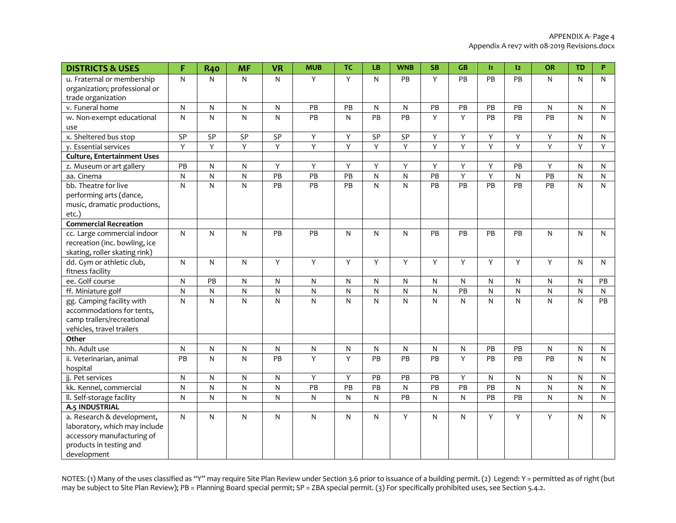| <b>DISTRICTS &amp; USES</b>                                                                                                         | F              | <b>R40</b>     | <b>MF</b>    | <b>VR</b> | <b>MUB</b>              | <b>TC</b>      | LB           | <b>WNB</b> | <b>SB</b>      | GB           | h.              | 12           | <b>OR</b> | <b>TD</b>      | P            |
|-------------------------------------------------------------------------------------------------------------------------------------|----------------|----------------|--------------|-----------|-------------------------|----------------|--------------|------------|----------------|--------------|-----------------|--------------|-----------|----------------|--------------|
| u. Fraternal or membership<br>organization; professional or<br>trade organization                                                   | ${\sf N}$      | N              | $\mathsf{N}$ | N         | Y                       | Y              | N            | PB         | Y              | PB           | PB              | PB           | N         | $\mathsf{N}$   | N            |
| v. Funeral home                                                                                                                     | $\mathsf{N}$   | N              | $\mathsf{N}$ | N         | PB                      | PB             | N            | N          | PB             | PB           | PB              | PB           | N         | $\mathsf{N}$   | $\mathsf{N}$ |
| w. Non-exempt educational                                                                                                           | $\mathsf{N}$   | $\mathsf{N}$   | $\mathsf{N}$ | N         | PB                      | N              | PB           | PB         | Y              | Y            | PB              | PB           | PB        | N              | N            |
| use                                                                                                                                 |                |                |              |           |                         |                |              |            |                |              |                 |              |           |                |              |
| x. Sheltered bus stop                                                                                                               | SP             | SP             | SP           | SP        | Υ                       | Υ              | SP           | SP         | Υ              | Υ            | Υ               | Υ            | Υ         | N              | N            |
| y. Essential services                                                                                                               | $\overline{Y}$ | Y              | Y            | Y         | Y                       | $\overline{Y}$ | Υ            | Y          | $\overline{Y}$ | Y            | $\overline{Y}$  | Y            | Υ         | $\overline{Y}$ | Y            |
| <b>Culture, Entertainment Uses</b>                                                                                                  |                |                |              |           |                         |                |              |            |                |              |                 |              |           |                |              |
| z. Museum or art gallery                                                                                                            | PB             | N              | $\mathsf{N}$ | Y         | Y                       | Y              | Y            | Υ          | Y              | Υ            | Y               | PB           | Y         | N              | N            |
| aa. Cinema                                                                                                                          | $\overline{N}$ | ${\sf N}$      | ${\sf N}$    | PB        | PB                      | PB             | $\mathsf{N}$ | ${\sf N}$  | PB             | Υ            | Υ               | $\mathsf{N}$ | PB        | ${\sf N}$      | N            |
| bb. Theatre for live                                                                                                                | N              | N              | $\mathsf{N}$ | <b>PB</b> | PB                      | <b>PB</b>      | N            | N          | PB             | PB           | PB              | PB           | PB        | N              | N            |
| performing arts (dance,<br>music, dramatic productions,<br>etc.)                                                                    |                |                |              |           |                         |                |              |            |                |              |                 |              |           |                |              |
| <b>Commercial Recreation</b>                                                                                                        |                |                |              |           |                         |                |              |            |                |              |                 |              |           |                |              |
| cc. Large commercial indoor<br>recreation (inc. bowling, ice<br>skating, roller skating rink)                                       | ${\sf N}$      | ${\sf N}$      | $\mathsf{N}$ | PB        | PB                      | N              | N            | N          | PB             | PB           | PB              | PB           | N         | N              | N            |
| dd. Gym or athletic club,<br>fitness facility                                                                                       | N              | N              | $\mathsf{N}$ | Y         | Y                       | Y              | Y            | Y          | Y              | Y            | Y               | Y            | Y         | N              | N            |
| ee. Golf course                                                                                                                     | N              | PB             | $\mathsf{N}$ | N         | ${\sf N}$               | N              | N            | N          | $\mathsf{N}$   | $\mathsf{N}$ | N               | N            | N         | N              | PB           |
| ff. Miniature golf                                                                                                                  | $\mathsf{N}$   | N              | $\mathsf{N}$ | N         | $\mathsf{N}$            | $\mathsf{N}$   | N            | N          | $\mathsf{N}$   | PB           | N               | N            | N         | N              | N            |
| gg. Camping facility with<br>accommodations for tents,<br>camp trailers/recreational<br>vehicles, travel trailers                   | ${\sf N}$      | $\overline{N}$ | ${\sf N}$    | N         | $\overline{\mathsf{N}}$ | $\mathsf{N}$   | ${\sf N}$    | ${\sf N}$  | ${\sf N}$      | ${\sf N}$    | ${\sf N}$       | ${\sf N}$    | N         | ${\sf N}$      | PB           |
| Other                                                                                                                               |                |                |              |           |                         |                |              |            |                |              |                 |              |           |                |              |
| hh. Adult use                                                                                                                       | ${\sf N}$      | ${\sf N}$      | ${\sf N}$    | N         | ${\sf N}$               | N              | N            | N          | ${\sf N}$      | ${\sf N}$    | PB              | PB           | N         | N              | $\mathsf{N}$ |
| ii. Veterinarian, animal<br>hospital                                                                                                | PB             | N              | $\mathsf{N}$ | PB        | Y                       | Y              | PB           | PB         | PB             | Y            | PB              | PB           | PB        | $\mathsf{N}$   | N            |
| jj. Pet services                                                                                                                    | N              | N              | N            | N         | Y                       | Υ              | PB           | PB         | PB             | Y            | N               | $\mathsf{N}$ | N         | N              | N            |
| kk. Kennel, commercial                                                                                                              | N              | ${\sf N}$      | ${\sf N}$    | N         | PB                      | PB             | PB           | N          | PB             | PB           | $\overline{PB}$ | ${\sf N}$    | N         | ${\sf N}$      | N            |
| II. Self-storage facility                                                                                                           | ${\sf N}$      | ${\sf N}$      | $\mathsf{N}$ | N         | ${\sf N}$               | ${\sf N}$      | N            | PB         | $\mathsf{N}$   | ${\sf N}$    | PB              | PB           | N         | ${\sf N}$      | N            |
| A.5 INDUSTRIAL                                                                                                                      |                |                |              |           |                         |                |              |            |                |              |                 |              |           |                |              |
| a. Research & development,<br>laboratory, which may include<br>accessory manufacturing of<br>products in testing and<br>development | $\mathsf{N}$   | N              | $\mathsf{N}$ | N         | $\mathsf{N}$            | N              | N            | Υ          | $\mathsf{N}$   | $\mathsf{N}$ | Υ               | Υ            | Y         | $\mathsf{N}$   | N            |